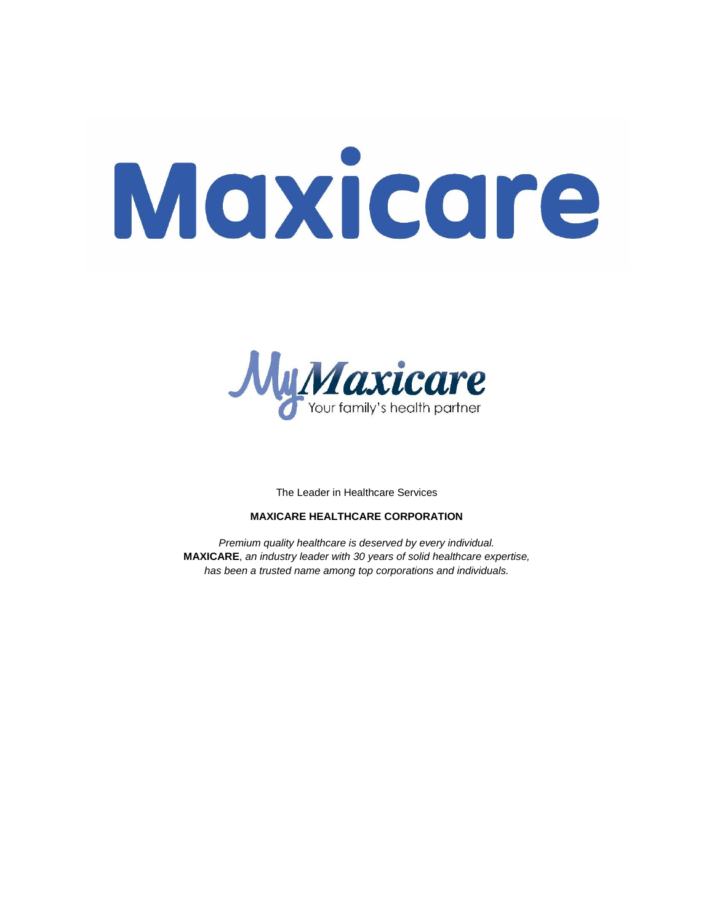# Maxicare



The Leader in Healthcare Services

# **MAXICARE HEALTHCARE CORPORATION**

*Premium quality healthcare is deserved by every individual.* **MAXICARE**, *an industry leader with 30 years of solid healthcare expertise, has been a trusted name among top corporations and individuals.*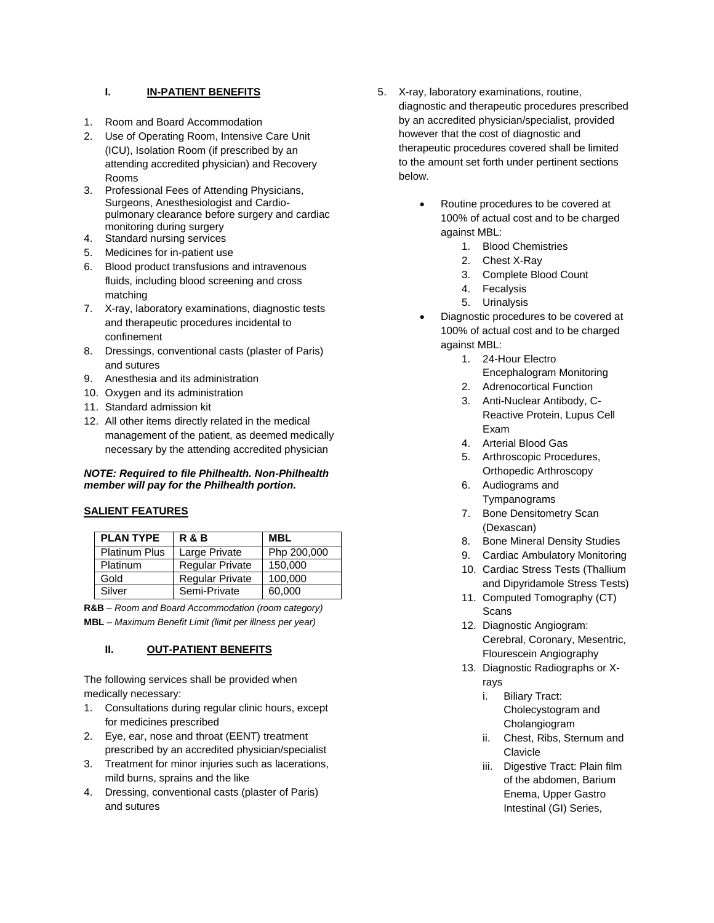# **I. IN-PATIENT BENEFITS**

- 1. Room and Board Accommodation
- 2. Use of Operating Room, Intensive Care Unit (ICU), Isolation Room (if prescribed by an attending accredited physician) and Recovery Rooms
- 3. Professional Fees of Attending Physicians, Surgeons, Anesthesiologist and Cardiopulmonary clearance before surgery and cardiac monitoring during surgery
- 4. Standard nursing services
- 5. Medicines for in-patient use
- 6. Blood product transfusions and intravenous fluids, including blood screening and cross matching
- 7. X-ray, laboratory examinations, diagnostic tests and therapeutic procedures incidental to confinement
- 8. Dressings, conventional casts (plaster of Paris) and sutures
- 9. Anesthesia and its administration
- 10. Oxygen and its administration
- 11. Standard admission kit
- 12. All other items directly related in the medical management of the patient, as deemed medically necessary by the attending accredited physician

## *NOTE: Required to file Philhealth. Non-Philhealth member will pay for the Philhealth portion.*

# **SALIENT FEATURES**

| <b>PLAN TYPE</b>     | <b>R&amp;B</b>         | <b>MBL</b>  |
|----------------------|------------------------|-------------|
| <b>Platinum Plus</b> | Large Private          | Php 200,000 |
| <b>Platinum</b>      | <b>Regular Private</b> | 150,000     |
| Gold                 | <b>Regular Private</b> | 100,000     |
| Silver               | Semi-Private           | 60,000      |

**R&B** – *Room and Board Accommodation (room category)* **MBL** – *Maximum Benefit Limit (limit per illness per year)*

# **II. OUT-PATIENT BENEFITS**

The following services shall be provided when medically necessary:

- 1. Consultations during regular clinic hours, except for medicines prescribed
- 2. Eye, ear, nose and throat (EENT) treatment prescribed by an accredited physician/specialist
- 3. Treatment for minor injuries such as lacerations, mild burns, sprains and the like
- 4. Dressing, conventional casts (plaster of Paris) and sutures
- 5. X-ray, laboratory examinations, routine, diagnostic and therapeutic procedures prescribed by an accredited physician/specialist, provided however that the cost of diagnostic and therapeutic procedures covered shall be limited to the amount set forth under pertinent sections below.
	- Routine procedures to be covered at 100% of actual cost and to be charged against MBL:
		- 1. Blood Chemistries
		- 2. Chest X-Ray
		- 3. Complete Blood Count
		- 4. Fecalysis
		- 5. Urinalysis
	- Diagnostic procedures to be covered at 100% of actual cost and to be charged against MBL:
		- 1. 24-Hour Electro Encephalogram Monitoring
		- 2. Adrenocortical Function
		- 3. Anti-Nuclear Antibody, C-Reactive Protein, Lupus Cell Exam
		- 4. Arterial Blood Gas
		- 5. Arthroscopic Procedures, Orthopedic Arthroscopy
		- 6. Audiograms and Tympanograms
		- 7. Bone Densitometry Scan (Dexascan)
		- 8. Bone Mineral Density Studies
		- 9. Cardiac Ambulatory Monitoring
		- 10. Cardiac Stress Tests (Thallium and Dipyridamole Stress Tests)
		- 11. Computed Tomography (CT) **Scans**
		- 12. Diagnostic Angiogram: Cerebral, Coronary, Mesentric, Flourescein Angiography
		- 13. Diagnostic Radiographs or Xrays
			- i. Biliary Tract: Cholecystogram and Cholangiogram
			- ii. Chest, Ribs, Sternum and Clavicle
			- iii. Digestive Tract: Plain film of the abdomen, Barium Enema, Upper Gastro Intestinal (GI) Series,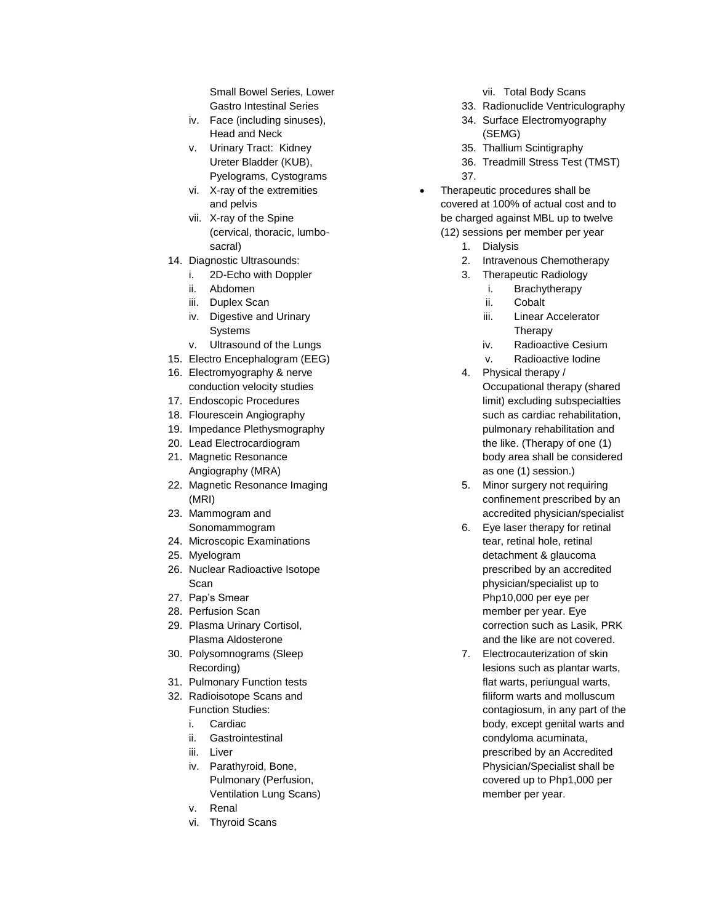Small Bowel Series, Lower Gastro Intestinal Series

- iv. Face (including sinuses), Head and Neck
- v. Urinary Tract: Kidney Ureter Bladder (KUB), Pyelograms, Cystograms
- vi. X-ray of the extremities and pelvis
- vii. X-ray of the Spine (cervical, thoracic, lumbosacral)
- 14. Diagnostic Ultrasounds:
	- i. 2D-Echo with Doppler
	- ii. Abdomen
	- iii. Duplex Scan
	- iv. Digestive and Urinary Systems
	- v. Ultrasound of the Lungs
- 15. Electro Encephalogram (EEG)
- 16. Electromyography & nerve conduction velocity studies
- 17. Endoscopic Procedures
- 18. Flourescein Angiography
- 19. Impedance Plethysmography
- 20. Lead Electrocardiogram
- 21. Magnetic Resonance Angiography (MRA)
- 22. Magnetic Resonance Imaging (MRI)
- 23. Mammogram and Sonomammogram
- 24. Microscopic Examinations
- 25. Myelogram
- 26. Nuclear Radioactive Isotope Scan
- 27. Pap's Smear
- 28. Perfusion Scan
- 29. Plasma Urinary Cortisol, Plasma Aldosterone
- 30. Polysomnograms (Sleep Recording)
- 31. Pulmonary Function tests
- 32. Radioisotope Scans and
	- Function Studies:
	- i. Cardiac
	- ii. Gastrointestinal
	- iii. Liver
	- iv. Parathyroid, Bone, Pulmonary (Perfusion, Ventilation Lung Scans)
	- v. Renal
	- vi. Thyroid Scans
- vii. Total Body Scans
- 33. Radionuclide Ventriculography
- 34. Surface Electromyography (SEMG)
- 35. Thallium Scintigraphy
- 36. Treadmill Stress Test (TMST) 37.
- Therapeutic procedures shall be covered at 100% of actual cost and to be charged against MBL up to twelve
	- (12) sessions per member per year
		- 1. Dialysis
		- 2. Intravenous Chemotherapy
		- 3. Therapeutic Radiology
			- i. Brachytherapy
			- ii. Cobalt
			- iii. Linear Accelerator Therapy
			- iv. Radioactive Cesium
			- v. Radioactive Iodine
		- 4. Physical therapy /
			- Occupational therapy (shared limit) excluding subspecialties such as cardiac rehabilitation, pulmonary rehabilitation and the like. (Therapy of one (1) body area shall be considered as one (1) session.)
		- 5. Minor surgery not requiring confinement prescribed by an accredited physician/specialist
		- 6. Eye laser therapy for retinal tear, retinal hole, retinal detachment & glaucoma prescribed by an accredited physician/specialist up to Php10,000 per eye per member per year. Eye correction such as Lasik, PRK and the like are not covered.
		- 7. Electrocauterization of skin lesions such as plantar warts, flat warts, periungual warts, filiform warts and molluscum contagiosum, in any part of the body, except genital warts and condyloma acuminata, prescribed by an Accredited Physician/Specialist shall be covered up to Php1,000 per member per year.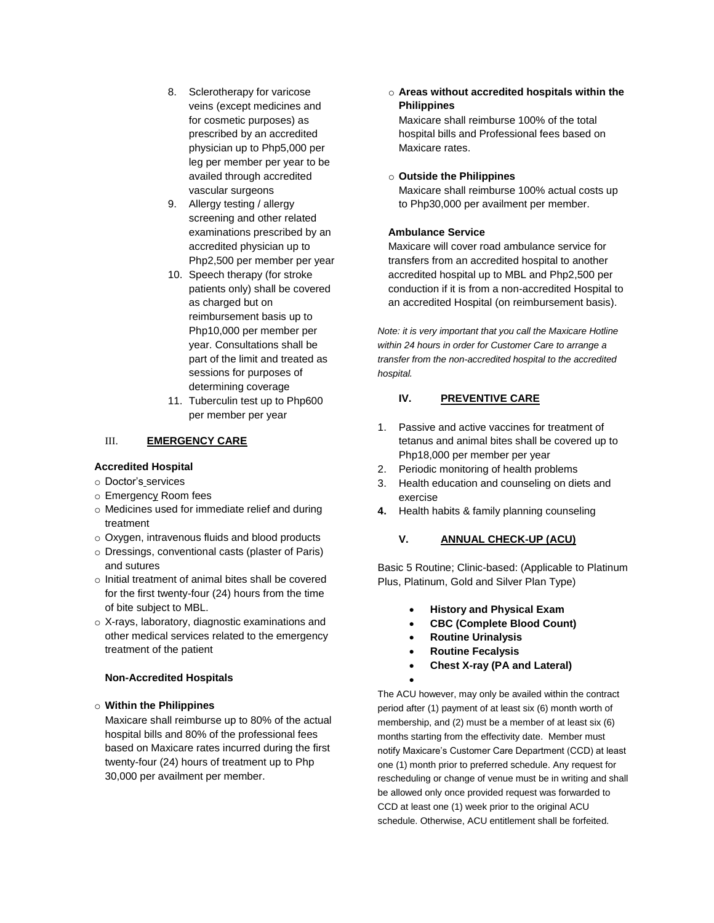- 8. Sclerotherapy for varicose veins (except medicines and for cosmetic purposes) as prescribed by an accredited physician up to Php5,000 per leg per member per year to be availed through accredited vascular surgeons
- 9. Allergy testing / allergy screening and other related examinations prescribed by an accredited physician up to Php2,500 per member per year
- 10. Speech therapy (for stroke patients only) shall be covered as charged but on reimbursement basis up to Php10,000 per member per year. Consultations shall be part of the limit and treated as sessions for purposes of determining coverage
- 11. Tuberculin test up to Php600 per member per year

# III. **EMERGENCY CARE**

# **Accredited Hospital**

- o Doctor's services
- o Emergency Room fees
- o Medicines used for immediate relief and during treatment
- o Oxygen, intravenous fluids and blood products
- o Dressings, conventional casts (plaster of Paris) and sutures
- o Initial treatment of animal bites shall be covered for the first twenty-four (24) hours from the time of bite subject to MBL.
- o X-rays, laboratory, diagnostic examinations and other medical services related to the emergency treatment of the patient

# **Non-Accredited Hospitals**

# o **Within the Philippines**

Maxicare shall reimburse up to 80% of the actual hospital bills and 80% of the professional fees based on Maxicare rates incurred during the first twenty-four (24) hours of treatment up to Php 30,000 per availment per member.

o **Areas without accredited hospitals within the Philippines**

Maxicare shall reimburse 100% of the total hospital bills and Professional fees based on Maxicare rates.

## o **Outside the Philippines**

Maxicare shall reimburse 100% actual costs up to Php30,000 per availment per member.

# **Ambulance Service**

Maxicare will cover road ambulance service for transfers from an accredited hospital to another accredited hospital up to MBL and Php2,500 per conduction if it is from a non-accredited Hospital to an accredited Hospital (on reimbursement basis).

*Note: it is very important that you call the Maxicare Hotline within 24 hours in order for Customer Care to arrange a transfer from the non-accredited hospital to the accredited hospital.*

# **IV. PREVENTIVE CARE**

- 1. Passive and active vaccines for treatment of tetanus and animal bites shall be covered up to Php18,000 per member per year
- 2. Periodic monitoring of health problems
- 3. Health education and counseling on diets and exercise
- **4.** Health habits & family planning counseling

# **V. ANNUAL CHECK-UP (ACU)**

Basic 5 Routine; Clinic-based: (Applicable to Platinum Plus, Platinum, Gold and Silver Plan Type)

- **History and Physical Exam**
- **CBC (Complete Blood Count)**
- **Routine Urinalysis**
- **Routine Fecalysis**

 $\bullet$ 

**Chest X-ray (PA and Lateral)**

The ACU however, may only be availed within the contract period after (1) payment of at least six (6) month worth of membership, and (2) must be a member of at least six (6) months starting from the effectivity date. Member must notify Maxicare's Customer Care Department (CCD) at least one (1) month prior to preferred schedule. Any request for rescheduling or change of venue must be in writing and shall be allowed only once provided request was forwarded to CCD at least one (1) week prior to the original ACU schedule. Otherwise, ACU entitlement shall be forfeited.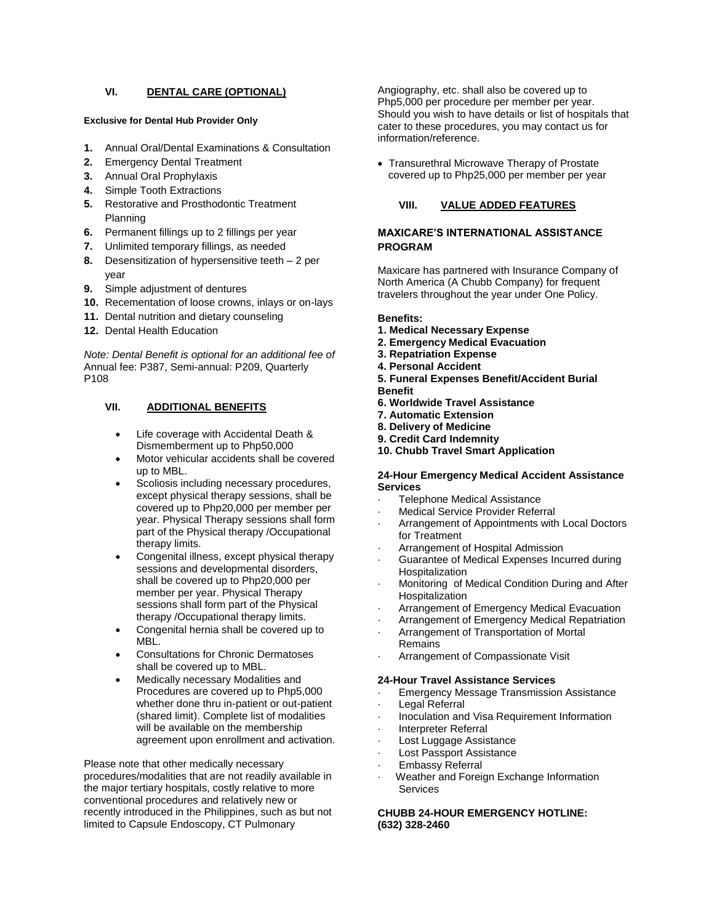# **VI. DENTAL CARE (OPTIONAL)**

### **Exclusive for Dental Hub Provider Only**

- **1.** Annual Oral/Dental Examinations & Consultation
- **2.** Emergency Dental Treatment
- **3.** Annual Oral Prophylaxis
- **4.** Simple Tooth Extractions
- **5.** Restorative and Prosthodontic Treatment Planning
- **6.** Permanent fillings up to 2 fillings per year
- **7.** Unlimited temporary fillings, as needed
- **8.** Desensitization of hypersensitive teeth 2 per year
- **9.** Simple adjustment of dentures
- **10.** Recementation of loose crowns, inlays or on-lays
- **11.** Dental nutrition and dietary counseling
- **12.** Dental Health Education

*Note: Dental Benefit is optional for an additional fee of* Annual fee: P387, Semi-annual: P209, Quarterly P108

## **VII. ADDITIONAL BENEFITS**

- Life coverage with Accidental Death & Dismemberment up to Php50,000
- Motor vehicular accidents shall be covered up to MBL.
- Scoliosis including necessary procedures, except physical therapy sessions, shall be covered up to Php20,000 per member per year. Physical Therapy sessions shall form part of the Physical therapy /Occupational therapy limits.
- Congenital illness, except physical therapy sessions and developmental disorders, shall be covered up to Php20,000 per member per year. Physical Therapy sessions shall form part of the Physical therapy /Occupational therapy limits.
- Congenital hernia shall be covered up to MBL.
- Consultations for Chronic Dermatoses shall be covered up to MBL.
- Medically necessary Modalities and Procedures are covered up to Php5,000 whether done thru in-patient or out-patient (shared limit). Complete list of modalities will be available on the membership agreement upon enrollment and activation.

Please note that other medically necessary procedures/modalities that are not readily available in the major tertiary hospitals, costly relative to more conventional procedures and relatively new or recently introduced in the Philippines, such as but not limited to Capsule Endoscopy, CT Pulmonary

Angiography, etc. shall also be covered up to Php5,000 per procedure per member per year. Should you wish to have details or list of hospitals that cater to these procedures, you may contact us for information/reference.

• Transurethral Microwave Therapy of Prostate covered up to Php25,000 per member per year

# **VIII. VALUE ADDED FEATURES**

## **MAXICARE'S INTERNATIONAL ASSISTANCE PROGRAM**

Maxicare has partnered with Insurance Company of North America (A Chubb Company) for frequent travelers throughout the year under One Policy.

#### **Benefits:**

- **1. Medical Necessary Expense**
- **2. Emergency Medical Evacuation**
- **3. Repatriation Expense**
- **4. Personal Accident**
- **5. Funeral Expenses Benefit/Accident Burial Benefit**
- **6. Worldwide Travel Assistance**
- **7. Automatic Extension**
- **8. Delivery of Medicine**
- **9. Credit Card Indemnity**
- **10. Chubb Travel Smart Application**

## **24-Hour Emergency Medical Accident Assistance Services**

- Telephone Medical Assistance
- **Medical Service Provider Referral**
- Arrangement of Appointments with Local Doctors for Treatment
- Arrangement of Hospital Admission
- Guarantee of Medical Expenses Incurred during Hospitalization
- Monitoring of Medical Condition During and After Hospitalization
- · Arrangement of Emergency Medical Evacuation
- · Arrangement of Emergency Medical Repatriation
- · Arrangement of Transportation of Mortal Remains
- Arrangement of Compassionate Visit

#### **24-Hour Travel Assistance Services**

- **Emergency Message Transmission Assistance**
- Legal Referral
- · Inoculation and Visa Requirement Information
- · Interpreter Referral
- Lost Luggage Assistance
- Lost Passport Assistance
- **Embassy Referral**
- Weather and Foreign Exchange Information **Services**

## **CHUBB 24-HOUR EMERGENCY HOTLINE: (632) 328-2460**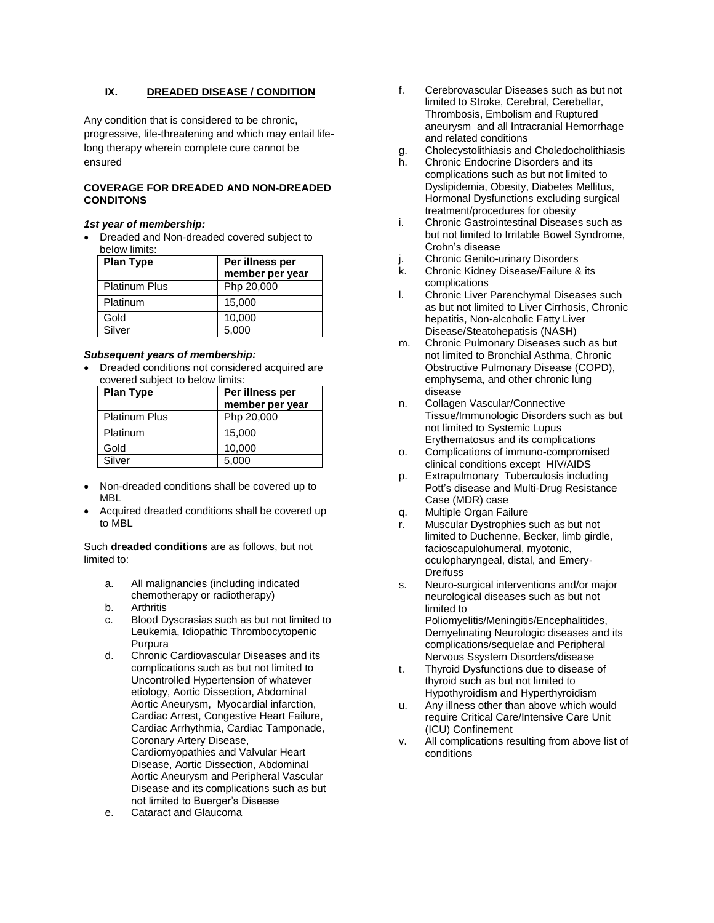## **IX. DREADED DISEASE / CONDITION**

Any condition that is considered to be chronic, progressive, life-threatening and which may entail lifelong therapy wherein complete cure cannot be ensured

## **COVERAGE FOR DREADED AND NON-DREADED CONDITONS**

## *1st year of membership:*

 Dreaded and Non-dreaded covered subject to below limits:

| <b>Plan Type</b>     | Per illness per |  |  |
|----------------------|-----------------|--|--|
|                      | member per year |  |  |
| <b>Platinum Plus</b> | Php 20,000      |  |  |
| Platinum             | 15,000          |  |  |
| Gold                 | 10,000          |  |  |
| Silver               | 5,000           |  |  |

## *Subsequent years of membership:*

 Dreaded conditions not considered acquired are covered subject to below limits:

| <b>Plan Type</b>     | Per illness per<br>member per year |
|----------------------|------------------------------------|
| <b>Platinum Plus</b> | Php 20,000                         |
| Platinum             | 15,000                             |
| Gold                 | 10,000                             |
| Silver               | 5,000                              |

- Non-dreaded conditions shall be covered up to MBL
- Acquired dreaded conditions shall be covered up to MBL

Such **dreaded conditions** are as follows, but not limited to:

- a. All malignancies (including indicated chemotherapy or radiotherapy)
- b. Arthritis
- c. Blood Dyscrasias such as but not limited to Leukemia, Idiopathic Thrombocytopenic Purpura
- d. Chronic Cardiovascular Diseases and its complications such as but not limited to Uncontrolled Hypertension of whatever etiology, Aortic Dissection, Abdominal Aortic Aneurysm, Myocardial infarction, Cardiac Arrest, Congestive Heart Failure, Cardiac Arrhythmia, Cardiac Tamponade, Coronary Artery Disease, Cardiomyopathies and Valvular Heart Disease, Aortic Dissection, Abdominal Aortic Aneurysm and Peripheral Vascular Disease and its complications such as but not limited to Buerger's Disease
- e. Cataract and Glaucoma
- f. Cerebrovascular Diseases such as but not limited to Stroke, Cerebral, Cerebellar, Thrombosis, Embolism and Ruptured aneurysm and all Intracranial Hemorrhage and related conditions
- g. Cholecystolithiasis and Choledocholithiasis
- h. Chronic Endocrine Disorders and its complications such as but not limited to Dyslipidemia, Obesity, Diabetes Mellitus, Hormonal Dysfunctions excluding surgical treatment/procedures for obesity
- i. Chronic Gastrointestinal Diseases such as but not limited to Irritable Bowel Syndrome, Crohn's disease
- Chronic Genito-urinary Disorders
- k. Chronic Kidney Disease/Failure & its complications
- l. Chronic Liver Parenchymal Diseases such as but not limited to Liver Cirrhosis, Chronic hepatitis, Non-alcoholic Fatty Liver Disease/Steatohepatisis (NASH)
- m. Chronic Pulmonary Diseases such as but not limited to Bronchial Asthma, Chronic Obstructive Pulmonary Disease (COPD), emphysema, and other chronic lung disease
- n. Collagen Vascular/Connective Tissue/Immunologic Disorders such as but not limited to Systemic Lupus Erythematosus and its complications
- o. Complications of immuno-compromised clinical conditions except HIV/AIDS
- p. Extrapulmonary Tuberculosis including Pott's disease and Multi-Drug Resistance Case (MDR) case
- q. Multiple Organ Failure
- r. Muscular Dystrophies such as but not limited to Duchenne, Becker, limb girdle, facioscapulohumeral, myotonic, oculopharyngeal, distal, and Emery-**Dreifuss**
- s. Neuro-surgical interventions and/or major neurological diseases such as but not limited to Poliomyelitis/Meningitis/Encephalitides, Demyelinating Neurologic diseases and its complications/sequelae and Peripheral
- Nervous Ssystem Disorders/disease t. Thyroid Dysfunctions due to disease of thyroid such as but not limited to Hypothyroidism and Hyperthyroidism
- u. Any illness other than above which would require Critical Care/Intensive Care Unit (ICU) Confinement
- v. All complications resulting from above list of conditions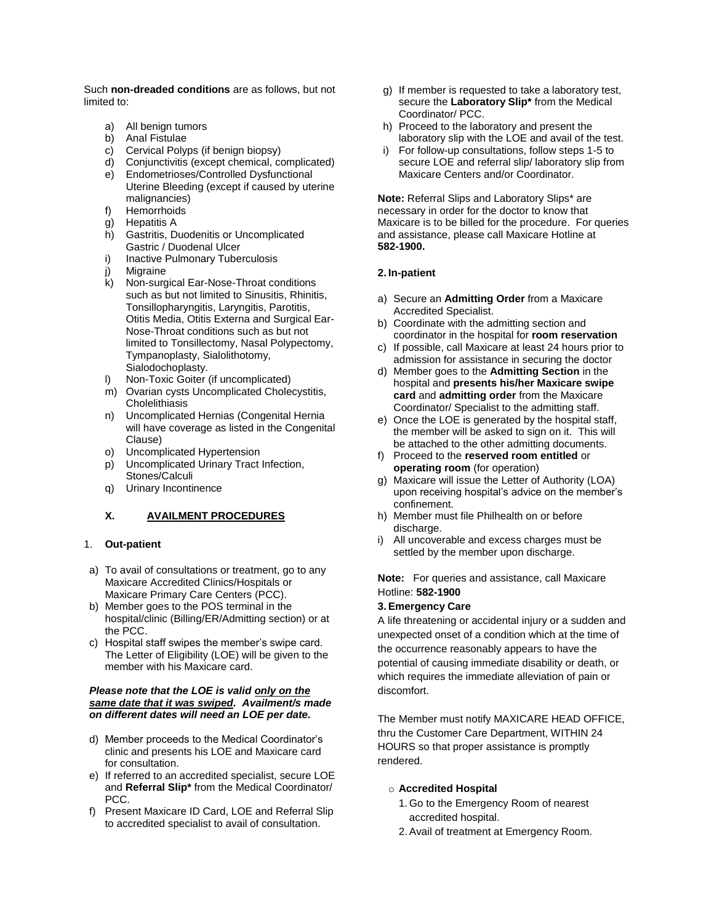Such **non-dreaded conditions** are as follows, but not limited to:

- a) All benign tumors
- b) Anal Fistulae
- c) Cervical Polyps (if benign biopsy)
- d) Conjunctivitis (except chemical, complicated) e) Endometrioses/Controlled Dysfunctional
- Uterine Bleeding (except if caused by uterine malignancies)
- f) Hemorrhoids g) Hepatitis A
- 
- h) Gastritis, Duodenitis or Uncomplicated Gastric / Duodenal Ulcer
- i) Inactive Pulmonary Tuberculosis
- j) Migraine
- k) Non-surgical Ear-Nose-Throat conditions such as but not limited to Sinusitis, Rhinitis, Tonsillopharyngitis, Laryngitis, Parotitis, Otitis Media, Otitis Externa and Surgical Ear-Nose-Throat conditions such as but not limited to Tonsillectomy, Nasal Polypectomy, Tympanoplasty, Sialolithotomy, Sialodochoplasty.
- l) Non-Toxic Goiter (if uncomplicated)
- m) Ovarian cysts Uncomplicated Cholecystitis, **Cholelithiasis**
- n) Uncomplicated Hernias (Congenital Hernia will have coverage as listed in the Congenital Clause)
- o) Uncomplicated Hypertension
- p) Uncomplicated Urinary Tract Infection, Stones/Calculi
- q) Urinary Incontinence

## **X. AVAILMENT PROCEDURES**

## 1. **Out-patient**

- a) To avail of consultations or treatment, go to any Maxicare Accredited Clinics/Hospitals or Maxicare Primary Care Centers (PCC).
- b) Member goes to the POS terminal in the hospital/clinic (Billing/ER/Admitting section) or at the PCC.
- c) Hospital staff swipes the member's swipe card. The Letter of Eligibility (LOE) will be given to the member with his Maxicare card.

## *Please note that the LOE is valid only on the same date that it was swiped. Availment/s made on different dates will need an LOE per date.*

- d) Member proceeds to the Medical Coordinator's clinic and presents his LOE and Maxicare card for consultation.
- e) If referred to an accredited specialist, secure LOE and **Referral Slip\*** from the Medical Coordinator/ PCC.
- f) Present Maxicare ID Card, LOE and Referral Slip to accredited specialist to avail of consultation.
- g) If member is requested to take a laboratory test, secure the **Laboratory Slip\*** from the Medical Coordinator/ PCC.
- h) Proceed to the laboratory and present the laboratory slip with the LOE and avail of the test.
- i) For follow-up consultations, follow steps 1-5 to secure LOE and referral slip/ laboratory slip from Maxicare Centers and/or Coordinator.

**Note:** Referral Slips and Laboratory Slips\* are necessary in order for the doctor to know that Maxicare is to be billed for the procedure. For queries and assistance, please call Maxicare Hotline at **582-1900.**

## **2. In-patient**

- a) Secure an **Admitting Order** from a Maxicare Accredited Specialist.
- b) Coordinate with the admitting section and coordinator in the hospital for **room reservation**
- c) If possible, call Maxicare at least 24 hours prior to admission for assistance in securing the doctor
- d) Member goes to the **Admitting Section** in the hospital and **presents his/her Maxicare swipe card** and **admitting order** from the Maxicare Coordinator/ Specialist to the admitting staff.
- e) Once the LOE is generated by the hospital staff, the member will be asked to sign on it. This will be attached to the other admitting documents.
- f) Proceed to the **reserved room entitled** or **operating room** (for operation)
- g) Maxicare will issue the Letter of Authority (LOA) upon receiving hospital's advice on the member's confinement.
- h) Member must file Philhealth on or before discharge.
- i) All uncoverable and excess charges must be settled by the member upon discharge.

**Note:** For queries and assistance, call Maxicare Hotline: **582-1900**

## **3.Emergency Care**

A life threatening or accidental injury or a sudden and unexpected onset of a condition which at the time of the occurrence reasonably appears to have the potential of causing immediate disability or death, or which requires the immediate alleviation of pain or discomfort.

The Member must notify MAXICARE HEAD OFFICE, thru the Customer Care Department, WITHIN 24 HOURS so that proper assistance is promptly rendered.

## o **Accredited Hospital**

- 1. Go to the Emergency Room of nearest accredited hospital.
- 2.Avail of treatment at Emergency Room.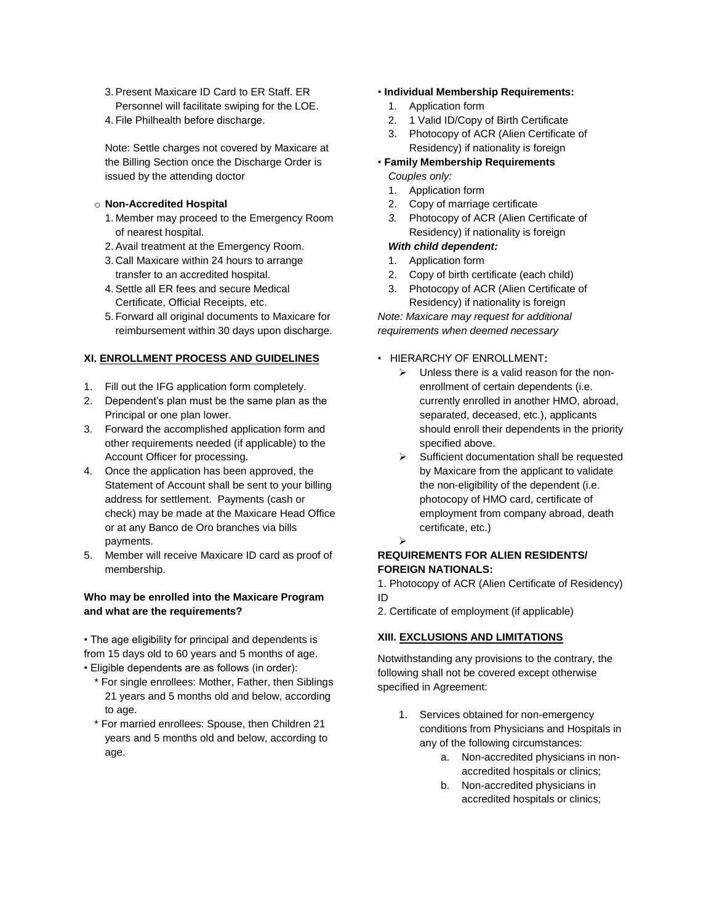- 3.Present Maxicare ID Card to ER Staff. ER Personnel will facilitate swiping for the LOE.
- 4. File Philhealth before discharge.

Note: Settle charges not covered by Maxicare at the Billing Section once the Discharge Order is issued by the attending doctor

## o **Non-Accredited Hospital**

- 1. Member may proceed to the Emergency Room of nearest hospital.
- 2.Avail treatment at the Emergency Room.
- 3. Call Maxicare within 24 hours to arrange transfer to an accredited hospital.
- 4.Settle all ER fees and secure Medical Certificate, Official Receipts, etc.
- 5. Forward all original documents to Maxicare for reimbursement within 30 days upon discharge.

## **XI. ENROLLMENT PROCESS AND GUIDELINES**

- 1. Fill out the IFG application form completely.
- 2. Dependent's plan must be the same plan as the Principal or one plan lower.
- 3. Forward the accomplished application form and other requirements needed (if applicable) to the Account Officer for processing.
- 4. Once the application has been approved, the Statement of Account shall be sent to your billing address for settlement. Payments (cash or check) may be made at the Maxicare Head Office or at any Banco de Oro branches via bills payments.
- 5. Member will receive Maxicare ID card as proof of membership.

# **Who may be enrolled into the Maxicare Program and what are the requirements?**

• The age eligibility for principal and dependents is from 15 days old to 60 years and 5 months of age.

- Eligible dependents are as follows (in order):
	- \* For single enrollees: Mother, Father, then Siblings 21 years and 5 months old and below, according to age.
	- \* For married enrollees: Spouse, then Children 21 years and 5 months old and below, according to age.

## • **Individual Membership Requirements:**

- 1. Application form
- 2. 1 Valid ID/Copy of Birth Certificate
- 3. Photocopy of ACR (Alien Certificate of Residency) if nationality is foreign
- **Family Membership Requirements** *Couples only:*
	- 1. Application form
	- 2. Copy of marriage certificate
	- *3.* Photocopy of ACR (Alien Certificate of Residency) if nationality is foreign

# *With child dependent:*

- 1. Application form
- 2. Copy of birth certificate (each child)
- 3. Photocopy of ACR (Alien Certificate of Residency) if nationality is foreign

*Note: Maxicare may request for additional requirements when deemed necessary*

## • HIERARCHY OF ENROLLMENT**:**

- $\triangleright$  Unless there is a valid reason for the nonenrollment of certain dependents (i.e. currently enrolled in another HMO, abroad, separated, deceased, etc.), applicants should enroll their dependents in the priority specified above.
- $\triangleright$  Sufficient documentation shall be requested by Maxicare from the applicant to validate the non-eligibility of the dependent (i.e. photocopy of HMO card, certificate of employment from company abroad, death certificate, etc.)

# **REQUIREMENTS FOR ALIEN RESIDENTS/ FOREIGN NATIONALS:**

 $\blacktriangleright$ 

1. Photocopy of ACR (Alien Certificate of Residency) ID

2. Certificate of employment (if applicable)

# **XIII. EXCLUSIONS AND LIMITATIONS**

Notwithstanding any provisions to the contrary, the following shall not be covered except otherwise specified in Agreement:

- 1. Services obtained for non-emergency conditions from Physicians and Hospitals in any of the following circumstances:
	- a. Non-accredited physicians in nonaccredited hospitals or clinics;
	- b. Non-accredited physicians in accredited hospitals or clinics;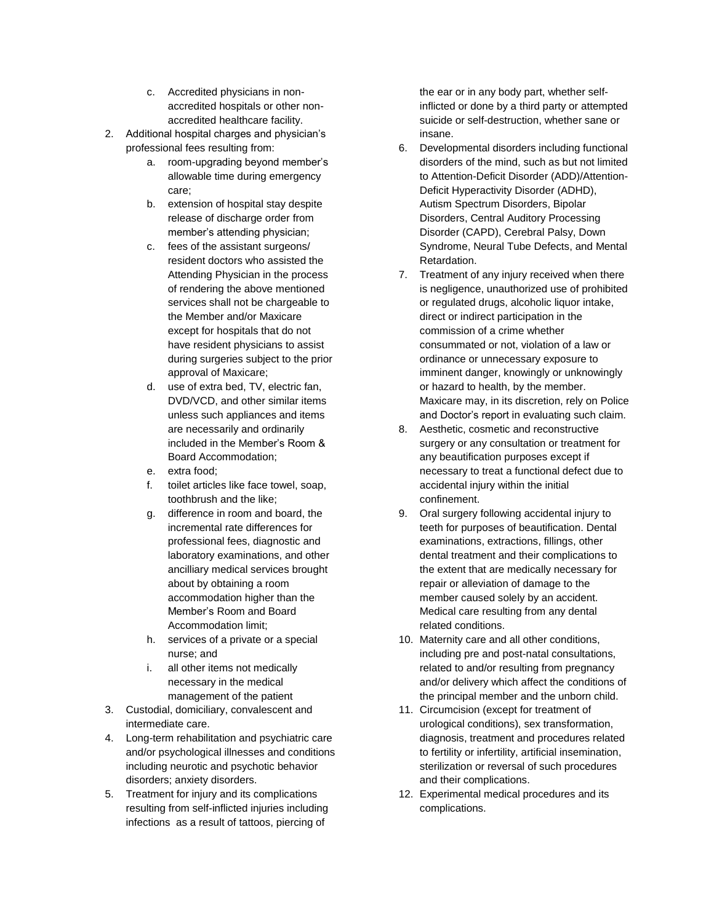- c. Accredited physicians in nonaccredited hospitals or other nonaccredited healthcare facility.
- 2. Additional hospital charges and physician's professional fees resulting from:
	- a. room-upgrading beyond member's allowable time during emergency care;
	- b. extension of hospital stay despite release of discharge order from member's attending physician;
	- c. fees of the assistant surgeons/ resident doctors who assisted the Attending Physician in the process of rendering the above mentioned services shall not be chargeable to the Member and/or Maxicare except for hospitals that do not have resident physicians to assist during surgeries subject to the prior approval of Maxicare;
	- d. use of extra bed, TV, electric fan, DVD/VCD, and other similar items unless such appliances and items are necessarily and ordinarily included in the Member's Room & Board Accommodation;
	- e. extra food;
	- f. toilet articles like face towel, soap, toothbrush and the like;
	- g. difference in room and board, the incremental rate differences for professional fees, diagnostic and laboratory examinations, and other ancilliary medical services brought about by obtaining a room accommodation higher than the Member's Room and Board Accommodation limit;
	- h. services of a private or a special nurse; and
	- i. all other items not medically necessary in the medical management of the patient
- 3. Custodial, domiciliary, convalescent and intermediate care.
- 4. Long-term rehabilitation and psychiatric care and/or psychological illnesses and conditions including neurotic and psychotic behavior disorders; anxiety disorders.
- 5. Treatment for injury and its complications resulting from self-inflicted injuries including infections as a result of tattoos, piercing of

the ear or in any body part, whether selfinflicted or done by a third party or attempted suicide or self-destruction, whether sane or insane.

- 6. Developmental disorders including functional disorders of the mind, such as but not limited to Attention-Deficit Disorder (ADD)/Attention-Deficit Hyperactivity Disorder (ADHD), Autism Spectrum Disorders, Bipolar Disorders, Central Auditory Processing Disorder (CAPD), Cerebral Palsy, Down Syndrome, Neural Tube Defects, and Mental Retardation.
- 7. Treatment of any injury received when there is negligence, unauthorized use of prohibited or regulated drugs, alcoholic liquor intake, direct or indirect participation in the commission of a crime whether consummated or not, violation of a law or ordinance or unnecessary exposure to imminent danger, knowingly or unknowingly or hazard to health, by the member. Maxicare may, in its discretion, rely on Police and Doctor's report in evaluating such claim.
- 8. Aesthetic, cosmetic and reconstructive surgery or any consultation or treatment for any beautification purposes except if necessary to treat a functional defect due to accidental injury within the initial confinement.
- 9. Oral surgery following accidental injury to teeth for purposes of beautification. Dental examinations, extractions, fillings, other dental treatment and their complications to the extent that are medically necessary for repair or alleviation of damage to the member caused solely by an accident. Medical care resulting from any dental related conditions.
- 10. Maternity care and all other conditions, including pre and post-natal consultations, related to and/or resulting from pregnancy and/or delivery which affect the conditions of the principal member and the unborn child.
- 11. Circumcision (except for treatment of urological conditions), sex transformation, diagnosis, treatment and procedures related to fertility or infertility, artificial insemination, sterilization or reversal of such procedures and their complications.
- 12. Experimental medical procedures and its complications.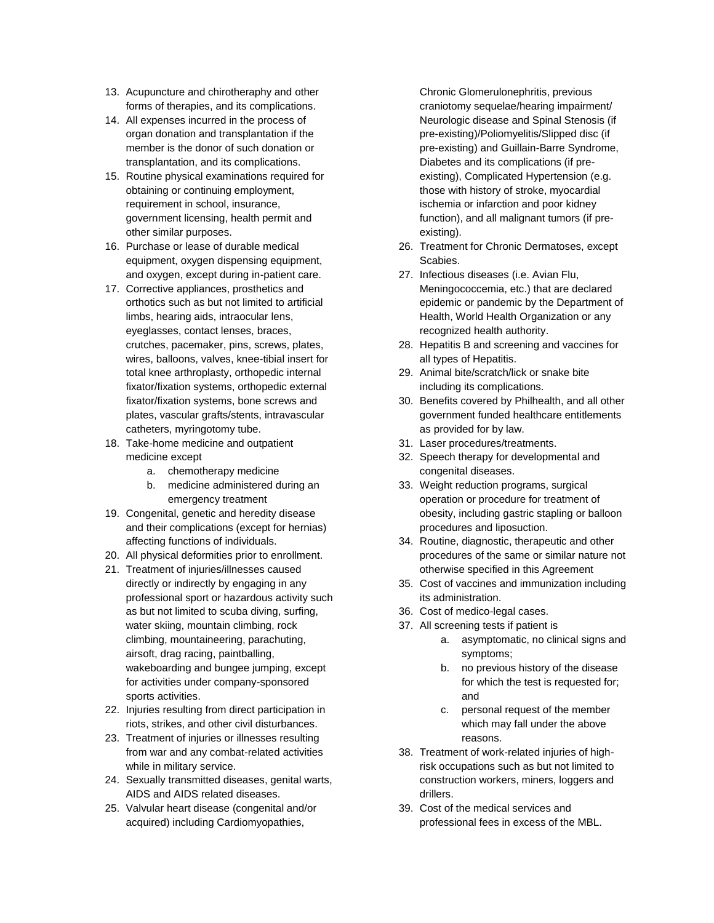- 13. Acupuncture and chirotheraphy and other forms of therapies, and its complications.
- 14. All expenses incurred in the process of organ donation and transplantation if the member is the donor of such donation or transplantation, and its complications.
- 15. Routine physical examinations required for obtaining or continuing employment, requirement in school, insurance, government licensing, health permit and other similar purposes.
- 16. Purchase or lease of durable medical equipment, oxygen dispensing equipment, and oxygen, except during in-patient care.
- 17. Corrective appliances, prosthetics and orthotics such as but not limited to artificial limbs, hearing aids, intraocular lens, eyeglasses, contact lenses, braces, crutches, pacemaker, pins, screws, plates, wires, balloons, valves, knee-tibial insert for total knee arthroplasty, orthopedic internal fixator/fixation systems, orthopedic external fixator/fixation systems, bone screws and plates, vascular grafts/stents, intravascular catheters, myringotomy tube.
- 18. Take-home medicine and outpatient medicine except
	- a. chemotherapy medicine
	- b. medicine administered during an emergency treatment
- 19. Congenital, genetic and heredity disease and their complications (except for hernias) affecting functions of individuals.
- 20. All physical deformities prior to enrollment.
- 21. Treatment of injuries/illnesses caused directly or indirectly by engaging in any professional sport or hazardous activity such as but not limited to scuba diving, surfing, water skiing, mountain climbing, rock climbing, mountaineering, parachuting, airsoft, drag racing, paintballing, wakeboarding and bungee jumping, except for activities under company-sponsored sports activities.
- 22. Injuries resulting from direct participation in riots, strikes, and other civil disturbances.
- 23. Treatment of injuries or illnesses resulting from war and any combat-related activities while in military service.
- 24. Sexually transmitted diseases, genital warts, AIDS and AIDS related diseases.
- 25. Valvular heart disease (congenital and/or acquired) including Cardiomyopathies,

Chronic Glomerulonephritis, previous craniotomy sequelae/hearing impairment/ Neurologic disease and Spinal Stenosis (if pre-existing)/Poliomyelitis/Slipped disc (if pre-existing) and Guillain-Barre Syndrome, Diabetes and its complications (if preexisting), Complicated Hypertension (e.g. those with history of stroke, myocardial ischemia or infarction and poor kidney function), and all malignant tumors (if preexisting).

- 26. Treatment for Chronic Dermatoses, except Scabies.
- 27. Infectious diseases (i.e. Avian Flu, Meningococcemia, etc.) that are declared epidemic or pandemic by the Department of Health, World Health Organization or any recognized health authority.
- 28. Hepatitis B and screening and vaccines for all types of Hepatitis.
- 29. Animal bite/scratch/lick or snake bite including its complications.
- 30. Benefits covered by Philhealth, and all other government funded healthcare entitlements as provided for by law.
- 31. Laser procedures/treatments.
- 32. Speech therapy for developmental and congenital diseases.
- 33. Weight reduction programs, surgical operation or procedure for treatment of obesity, including gastric stapling or balloon procedures and liposuction.
- 34. Routine, diagnostic, therapeutic and other procedures of the same or similar nature not otherwise specified in this Agreement
- 35. Cost of vaccines and immunization including its administration.
- 36. Cost of medico-legal cases.
- 37. All screening tests if patient is
	- a. asymptomatic, no clinical signs and symptoms;
	- b. no previous history of the disease for which the test is requested for; and
	- c. personal request of the member which may fall under the above reasons.
- 38. Treatment of work-related injuries of highrisk occupations such as but not limited to construction workers, miners, loggers and drillers.
- 39. Cost of the medical services and professional fees in excess of the MBL.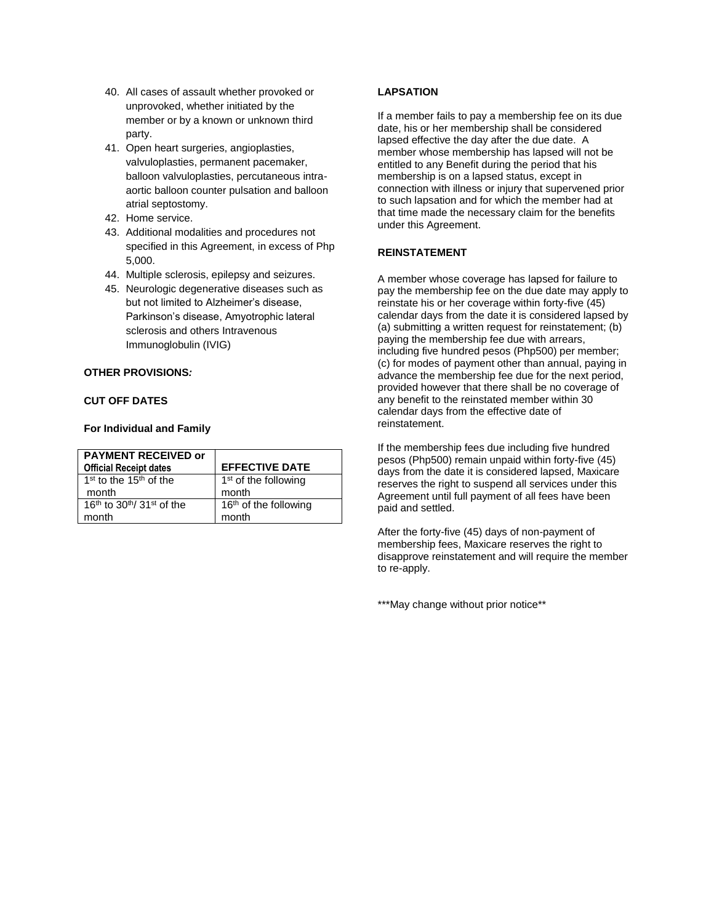- 40. All cases of assault whether provoked or unprovoked, whether initiated by the member or by a known or unknown third party.
- 41. Open heart surgeries, angioplasties, valvuloplasties, permanent pacemaker, balloon valvuloplasties, percutaneous intraaortic balloon counter pulsation and balloon atrial septostomy.
- 42. Home service.
- 43. Additional modalities and procedures not specified in this Agreement, in excess of Php 5,000.
- 44. Multiple sclerosis, epilepsy and seizures.
- 45. Neurologic degenerative diseases such as but not limited to Alzheimer's disease, Parkinson's disease, Amyotrophic lateral sclerosis and others Intravenous Immunoglobulin (IVIG)

# **OTHER PROVISIONS***:*

# **CUT OFF DATES**

## **For Individual and Family**

| <b>PAYMENT RECEIVED or</b>               |                                   |
|------------------------------------------|-----------------------------------|
| <b>Official Receipt dates</b>            | <b>EFFECTIVE DATE</b>             |
| $1st$ to the $15th$ of the               | $1st$ of the following            |
| month                                    | month                             |
| $16th$ to $30th$ 31 <sup>st</sup> of the | 16 <sup>th</sup> of the following |
| month                                    | month                             |

## **LAPSATION**

If a member fails to pay a membership fee on its due date, his or her membership shall be considered lapsed effective the day after the due date. A member whose membership has lapsed will not be entitled to any Benefit during the period that his membership is on a lapsed status, except in connection with illness or injury that supervened prior to such lapsation and for which the member had at that time made the necessary claim for the benefits under this Agreement.

## **REINSTATEMENT**

A member whose coverage has lapsed for failure to pay the membership fee on the due date may apply to reinstate his or her coverage within forty-five (45) calendar days from the date it is considered lapsed by (a) submitting a written request for reinstatement; (b) paying the membership fee due with arrears, including five hundred pesos (Php500) per member; (c) for modes of payment other than annual, paying in advance the membership fee due for the next period, provided however that there shall be no coverage of any benefit to the reinstated member within 30 calendar days from the effective date of reinstatement.

If the membership fees due including five hundred pesos (Php500) remain unpaid within forty-five (45) days from the date it is considered lapsed, Maxicare reserves the right to suspend all services under this Agreement until full payment of all fees have been paid and settled.

After the forty-five (45) days of non-payment of membership fees, Maxicare reserves the right to disapprove reinstatement and will require the member to re-apply.

\*\*\*May change without prior notice\*\*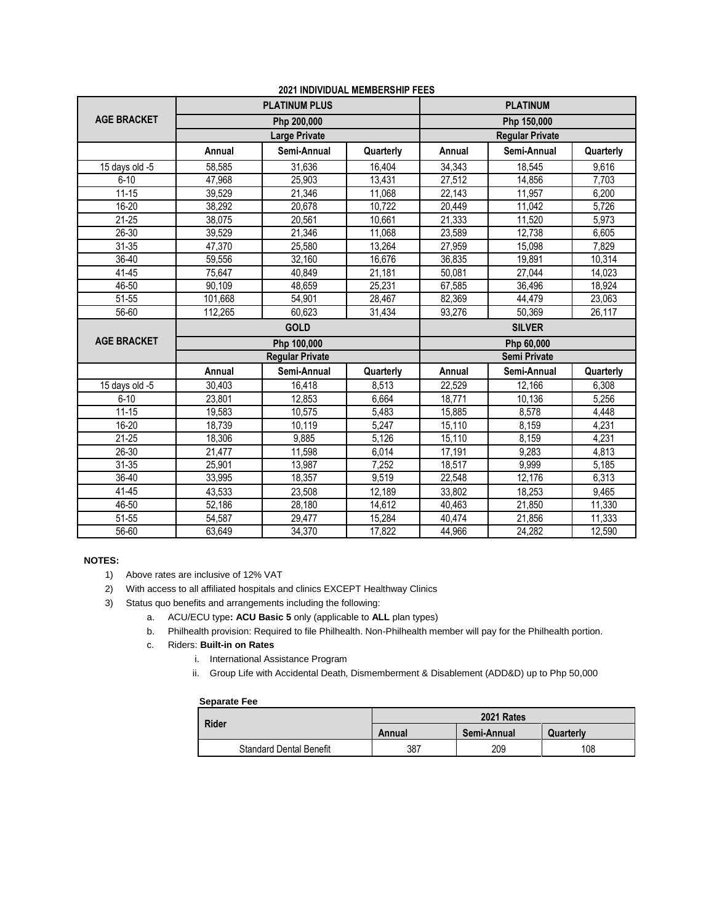|                    | <b>PLATINUM PLUS</b> |                        | <b>PLATINUM</b> |                        |               |           |
|--------------------|----------------------|------------------------|-----------------|------------------------|---------------|-----------|
| <b>AGE BRACKET</b> |                      | Php 200,000            |                 | Php 150,000            |               |           |
|                    |                      | <b>Large Private</b>   |                 | <b>Regular Private</b> |               |           |
|                    | Annual               | Semi-Annual            | Quarterly       | Annual                 | Semi-Annual   | Quarterly |
| 15 days old $-5$   | 58,585               | 31,636                 | 16,404          | 34,343                 | 18,545        | 9.616     |
| $6 - 10$           | 47,968               | 25.903                 | 13,431          | 27,512                 | 14.856        | 7,703     |
| $11 - 15$          | 39,529               | 21,346                 | 11,068          | 22,143                 | 11,957        | 6,200     |
| 16-20              | 38,292               | 20,678                 | 10,722          | 20,449                 | 11,042        | 5,726     |
| $21 - 25$          | 38,075               | 20,561                 | 10,661          | 21,333                 | 11,520        | 5,973     |
| 26-30              | 39,529               | 21,346                 | 11,068          | 23,589                 | 12,738        | 6,605     |
| $31 - 35$          | 47,370               | 25,580                 | 13,264          | 27,959                 | 15,098        | 7,829     |
| $36 - 40$          | 59,556               | 32,160                 | 16,676          | 36,835                 | 19,891        | 10,314    |
| 41-45              | 75,647               | 40,849                 | 21,181          | 50,081                 | 27,044        | 14,023    |
| 46-50              | 90,109               | 48,659                 | 25,231          | 67,585                 | 36,496        | 18,924    |
| 51-55              | 101,668              | 54,901                 | 28,467          | 82,369                 | 44,479        | 23,063    |
| 56-60              | 112,265              | 60,623                 | 31,434          | 93,276                 | 50,369        | 26,117    |
|                    |                      | <b>GOLD</b>            |                 |                        | <b>SILVER</b> |           |
| <b>AGE BRACKET</b> |                      | Php 100,000            |                 |                        | Php 60,000    |           |
|                    |                      | <b>Regular Private</b> |                 | Semi Private           |               |           |
|                    | Annual               | Semi-Annual            | Quarterly       | Annual                 | Semi-Annual   | Quarterly |
| 15 days old -5     | 30,403               | 16,418                 | 8,513           | 22,529                 | 12,166        | 6,308     |
| $6 - 10$           | 23,801               | 12,853                 | 6,664           | 18.771                 | 10,136        | 5,256     |
| $11 - 15$          | 19,583               | 10,575                 | 5,483           | 15,885                 | 8,578         | 4,448     |
| 16-20              | 18,739               | 10,119                 | 5,247           | 15,110                 | 8,159         | 4,231     |
| $21 - 25$          | 18,306               | 9,885                  | 5,126           | 15,110                 | 8,159         | 4,231     |
| $26 - 30$          | 21,477               | 11.598                 | 6,014           | 17,191                 | 9,283         | 4,813     |
| $31 - 35$          | 25,901               | 13,987                 | 7,252           | 18,517                 | 9,999         | 5,185     |
| 36-40              | 33,995               | 18,357                 | 9,519           | 22,548                 | 12,176        | 6,313     |
| 41-45              | 43,533               | 23,508                 | 12,189          | 33,802                 | 18,253        | 9,465     |
| 46-50              | 52,186               | 28.180                 | 14,612          | 40.463                 | 21,850        | 11,330    |
| 51-55              | 54,587               | 29,477                 | 15,284          | 40,474                 | 21,856        | 11,333    |
| 56-60              | 63,649               | 34,370                 | 17,822          | 44.966                 | 24,282        | 12,590    |

## **2021 INDIVIDUAL MEMBERSHIP FEES**

## **NOTES:**

- 1) Above rates are inclusive of 12% VAT
- 2) With access to all affiliated hospitals and clinics EXCEPT Healthway Clinics
- 3) Status quo benefits and arrangements including the following:
	- a. ACU/ECU type**: ACU Basic 5** only (applicable to **ALL** plan types)
	- b. Philhealth provision: Required to file Philhealth. Non-Philhealth member will pay for the Philhealth portion.
	- c. Riders: **Built-in on Rates**
		- i. International Assistance Program
		- ii. Group Life with Accidental Death, Dismemberment & Disablement (ADD&D) up to Php 50,000

#### **Separate Fee**

| <b>Rider</b>                   | 2021 Rates |             |           |  |
|--------------------------------|------------|-------------|-----------|--|
|                                | Annual     | Semi-Annual | Quarterly |  |
| <b>Standard Dental Benefit</b> | 387        | 209         | 108       |  |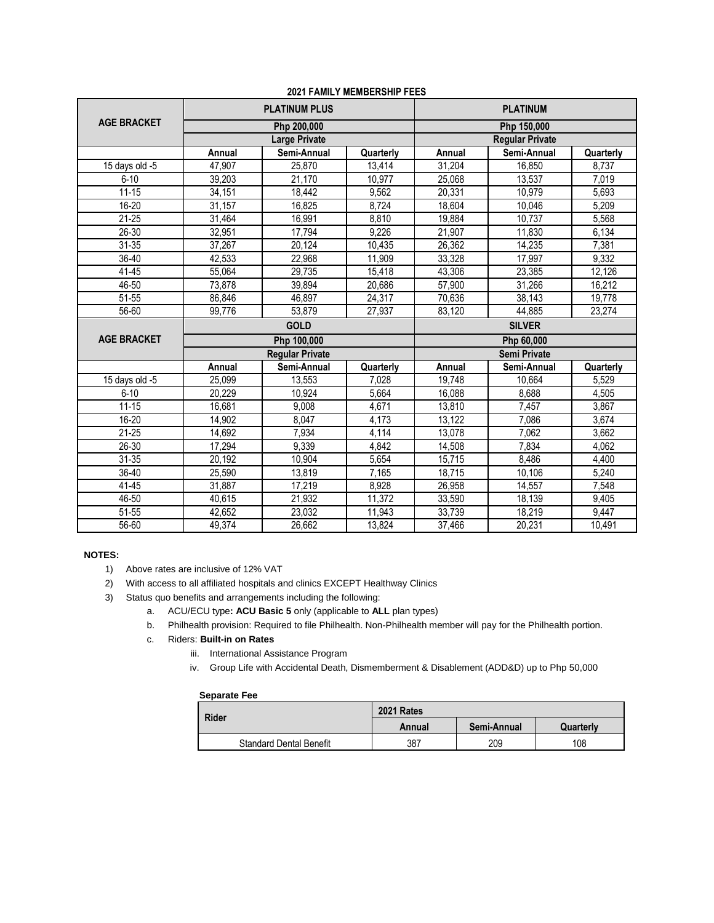|                    | <b>PLATINUM PLUS</b> |                        | <b>PLATINUM</b> |                        |             |           |
|--------------------|----------------------|------------------------|-----------------|------------------------|-------------|-----------|
| <b>AGE BRACKET</b> | Php 200,000          |                        | Php 150,000     |                        |             |           |
|                    |                      | <b>Large Private</b>   |                 | <b>Regular Private</b> |             |           |
|                    | Annual               | Semi-Annual            | Quarterly       | Annual                 | Semi-Annual | Quarterly |
| 15 days old -5     | 47,907               | 25,870                 | 13,414          | 31,204                 | 16,850      | 8,737     |
| $6 - 10$           | 39,203               | 21,170                 | 10,977          | 25,068                 | 13,537      | 7,019     |
| $11 - 15$          | 34,151               | 18,442                 | 9,562           | 20,331                 | 10,979      | 5,693     |
| 16-20              | 31,157               | 16,825                 | 8,724           | 18,604                 | 10,046      | 5,209     |
| $21 - 25$          | 31,464               | 16,991                 | 8,810           | 19,884                 | 10,737      | 5,568     |
| 26-30              | 32,951               | 17,794                 | 9,226           | 21,907                 | 11,830      | 6,134     |
| $31 - 35$          | 37,267               | 20.124                 | 10,435          | 26,362                 | 14,235      | 7,381     |
| 36-40              | 42,533               | 22,968                 | 11,909          | 33,328                 | 17,997      | 9,332     |
| 41-45              | 55,064               | 29,735                 | 15,418          | 43,306                 | 23,385      | 12,126    |
| 46-50              | 73.878               | 39,894                 | 20.686          | 57,900                 | 31,266      | 16,212    |
| 51-55              | 86,846               | 46,897                 | 24,317          | 70,636                 | 38,143      | 19,778    |
| 56-60              | 99,776               | 53,879                 | 27,937          | 83,120                 | 44,885      | 23,274    |
| <b>GOLD</b>        |                      |                        | <b>SILVER</b>   |                        |             |           |
| <b>AGE BRACKET</b> |                      | Php 100,000            |                 |                        | Php 60,000  |           |
|                    |                      | <b>Regular Private</b> |                 | <b>Semi Private</b>    |             |           |
|                    | Annual               | Semi-Annual            | Quarterly       | Annual                 | Semi-Annual | Quarterly |
| 15 days old -5     | 25,099               | 13,553                 | 7,028           | 19,748                 | 10,664      | 5,529     |
| $6 - 10$           | 20,229               | 10,924                 | 5,664           | 16,088                 | 8,688       | 4,505     |
| $11 - 15$          | 16,681               | 9,008                  | 4,671           | 13,810                 | 7,457       | 3,867     |
| 16-20              | 14,902               | 8,047                  | 4,173           | 13.122                 | 7,086       | 3,674     |
| $21 - 25$          | 14,692               | 7,934                  | 4,114           | 13,078                 | 7,062       | 3,662     |
| 26-30              | 17,294               | 9,339                  | 4,842           | 14,508                 | 7,834       | 4,062     |
| $31 - 35$          | 20,192               | 10,904                 | 5,654           | 15,715                 | 8,486       | 4,400     |
| 36-40              | 25,590               | 13,819                 | 7,165           | 18,715                 | 10,106      | 5,240     |
| 41-45              | 31,887               | 17,219                 | 8,928           | 26,958                 | 14,557      | 7,548     |
| 46-50              | 40,615               | 21,932                 | 11,372          | 33,590                 | 18,139      | 9,405     |
| 51-55              | 42.652               | 23.032                 | 11,943          | 33,739                 | 18,219      | 9,447     |
| 56-60              | 49,374               | 26,662                 | 13,824          | 37,466                 | 20,231      | 10,491    |

# **2021 FAMILY MEMBERSHIP FEES**

## **NOTES:**

- 1) Above rates are inclusive of 12% VAT
- 2) With access to all affiliated hospitals and clinics EXCEPT Healthway Clinics
- 3) Status quo benefits and arrangements including the following:
	- a. ACU/ECU type**: ACU Basic 5** only (applicable to **ALL** plan types)
		- b. Philhealth provision: Required to file Philhealth. Non-Philhealth member will pay for the Philhealth portion.
		- c. Riders: **Built-in on Rates**
			- iii. International Assistance Program
			- iv. Group Life with Accidental Death, Dismemberment & Disablement (ADD&D) up to Php 50,000

#### **Separate Fee**

| <b>Rider</b>                   | 2021 Rates |             |           |  |
|--------------------------------|------------|-------------|-----------|--|
|                                | Annual     | Semi-Annual | Quarterly |  |
| <b>Standard Dental Benefit</b> | 387        | 209         | 108       |  |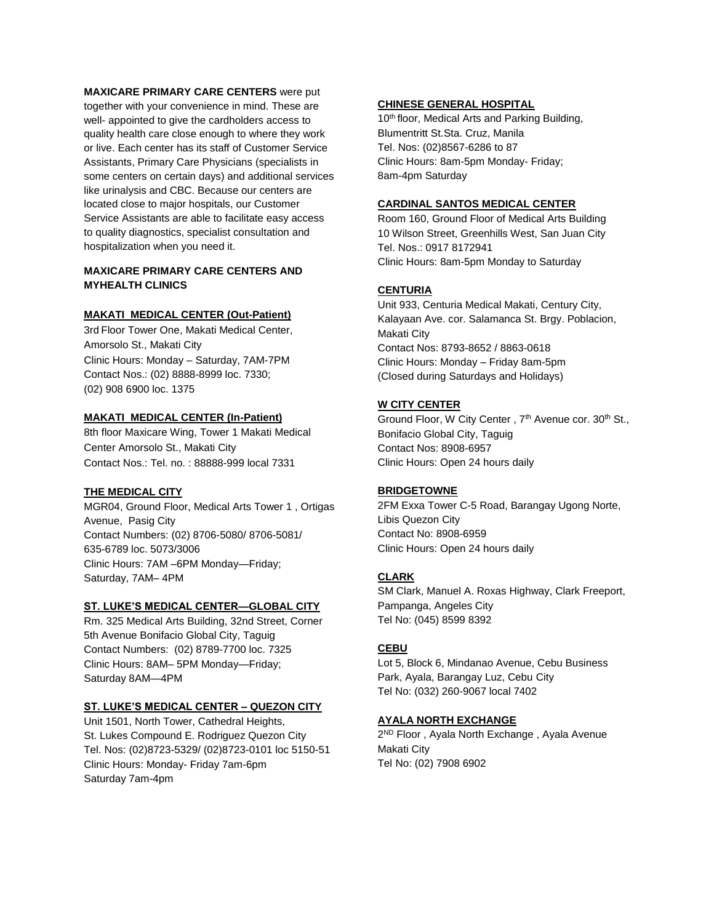## **MAXICARE PRIMARY CARE CENTERS** were put

together with your convenience in mind. These are well- appointed to give the cardholders access to quality health care close enough to where they work or live. Each center has its staff of Customer Service Assistants, Primary Care Physicians (specialists in some centers on certain days) and additional services like urinalysis and CBC. Because our centers are located close to major hospitals, our Customer Service Assistants are able to facilitate easy access to quality diagnostics, specialist consultation and hospitalization when you need it.

# **MAXICARE PRIMARY CARE CENTERS AND MYHEALTH CLINICS**

## **MAKATI MEDICAL CENTER (Out-Patient)**

3rd Floor Tower One, Makati Medical Center, Amorsolo St., Makati City Clinic Hours: Monday – Saturday, 7AM-7PM Contact Nos.: (02) 8888-8999 loc. 7330; (02) 908 6900 loc. 1375

## **MAKATI MEDICAL CENTER (In-Patient)**

8th floor Maxicare Wing, Tower 1 Makati Medical Center Amorsolo St., Makati City Contact Nos.: Tel. no. : 88888-999 local 7331

## **THE MEDICAL CITY**

MGR04, Ground Floor, Medical Arts Tower 1 , Ortigas Avenue, Pasig City Contact Numbers: (02) 8706-5080/ 8706-5081/ 635-6789 loc. 5073/3006 Clinic Hours: 7AM –6PM Monday—Friday; Saturday, 7AM– 4PM

## **ST. LUKE'S MEDICAL CENTER—GLOBAL CITY**

Rm. 325 Medical Arts Building, 32nd Street, Corner 5th Avenue Bonifacio Global City, Taguig Contact Numbers: (02) 8789-7700 loc. 7325 Clinic Hours: 8AM– 5PM Monday—Friday; Saturday 8AM—4PM

#### **ST. LUKE'S MEDICAL CENTER – QUEZON CITY**

Unit 1501, North Tower, Cathedral Heights, St. Lukes Compound E. Rodriguez Quezon City Tel. Nos: (02)8723-5329/ (02)8723-0101 loc 5150-51 Clinic Hours: Monday- Friday 7am-6pm Saturday 7am-4pm

## **CHINESE GENERAL HOSPITAL**

10<sup>th</sup> floor, Medical Arts and Parking Building, Blumentritt St.Sta. Cruz, Manila Tel. Nos: (02)8567-6286 to 87 Clinic Hours: 8am-5pm Monday- Friday; 8am-4pm Saturday

## **CARDINAL SANTOS MEDICAL CENTER**

Room 160, Ground Floor of Medical Arts Building 10 Wilson Street, Greenhills West, San Juan City Tel. Nos.: 0917 8172941 Clinic Hours: 8am-5pm Monday to Saturday

# **CENTURIA**

Unit 933, Centuria Medical Makati, Century City, Kalayaan Ave. cor. Salamanca St. Brgy. Poblacion, Makati City Contact Nos: 8793-8652 / 8863-0618 Clinic Hours: Monday – Friday 8am-5pm (Closed during Saturdays and Holidays)

# **W CITY CENTER**

Ground Floor, W City Center, 7<sup>th</sup> Avenue cor. 30<sup>th</sup> St., Bonifacio Global City, Taguig Contact Nos: 8908-6957 Clinic Hours: Open 24 hours daily

#### **BRIDGETOWNE**

2FM Exxa Tower C-5 Road, Barangay Ugong Norte, Libis Quezon City Contact No: 8908-6959 Clinic Hours: Open 24 hours daily

## **CLARK**

SM Clark, Manuel A. Roxas Highway, Clark Freeport, Pampanga, Angeles City Tel No: (045) 8599 8392

## **CEBU**

Lot 5, Block 6, Mindanao Avenue, Cebu Business Park, Ayala, Barangay Luz, Cebu City Tel No: (032) 260-9067 local 7402

# **AYALA NORTH EXCHANGE**

2<sup>ND</sup> Floor, Ayala North Exchange, Ayala Avenue Makati City Tel No: (02) 7908 6902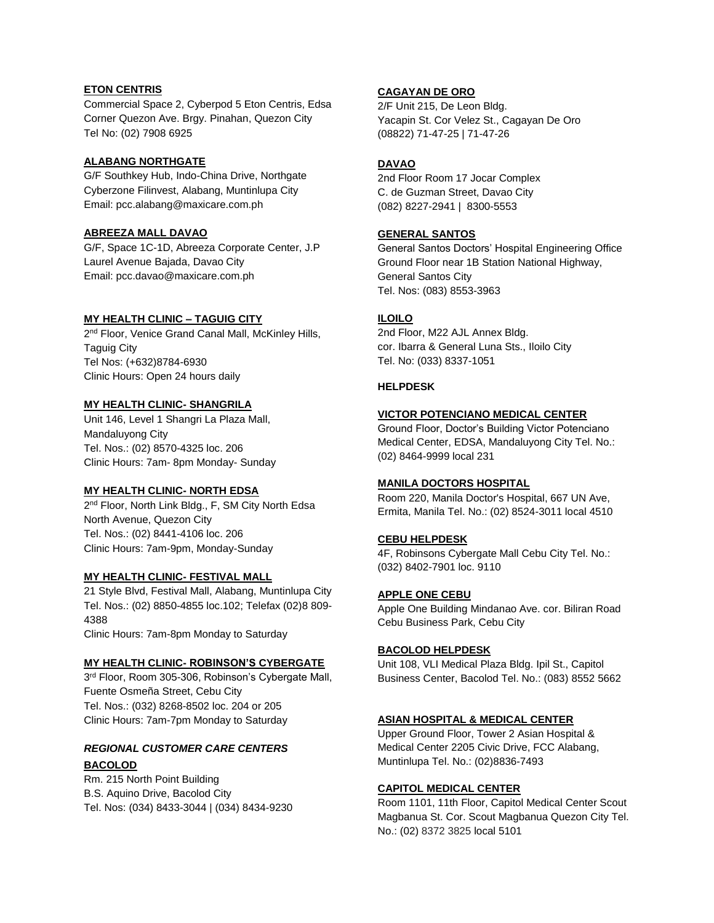## **ETON CENTRIS**

Commercial Space 2, Cyberpod 5 Eton Centris, Edsa Corner Quezon Ave. Brgy. Pinahan, Quezon City Tel No: (02) 7908 6925

## **ALABANG NORTHGATE**

G/F Southkey Hub, Indo-China Drive, Northgate Cyberzone Filinvest, Alabang, Muntinlupa City Email: pcc.alabang@maxicare.com.ph

## **ABREEZA MALL DAVAO**

G/F, Space 1C-1D, Abreeza Corporate Center, J.P Laurel Avenue Bajada, Davao City Email: pcc.davao@maxicare.com.ph

## **MY HEALTH CLINIC – TAGUIG CITY**

2<sup>nd</sup> Floor, Venice Grand Canal Mall, McKinley Hills, Taguig City Tel Nos: (+632)8784-6930 Clinic Hours: Open 24 hours daily

## **MY HEALTH CLINIC- SHANGRILA**

Unit 146, Level 1 Shangri La Plaza Mall, Mandaluyong City Tel. Nos.: (02) 8570-4325 loc. 206 Clinic Hours: 7am- 8pm Monday- Sunday

## **MY HEALTH CLINIC- NORTH EDSA**

2<sup>nd</sup> Floor, North Link Bldg., F, SM City North Edsa North Avenue, Quezon City Tel. Nos.: (02) 8441-4106 loc. 206 Clinic Hours: 7am-9pm, Monday-Sunday

# **MY HEALTH CLINIC- FESTIVAL MALL**

21 Style Blvd, Festival Mall, Alabang, Muntinlupa City Tel. Nos.: (02) 8850-4855 loc.102; Telefax (02)8 809- 4388 Clinic Hours: 7am-8pm Monday to Saturday

## **MY HEALTH CLINIC- ROBINSON'S CYBERGATE**

3<sup>rd</sup> Floor, Room 305-306, Robinson's Cybergate Mall, Fuente Osmeña Street, Cebu City Tel. Nos.: (032) 8268-8502 loc. 204 or 205 Clinic Hours: 7am-7pm Monday to Saturday

# *REGIONAL CUSTOMER CARE CENTERS* **BACOLOD**

Rm. 215 North Point Building B.S. Aquino Drive, Bacolod City Tel. Nos: (034) 8433-3044 | (034) 8434-9230

# **CAGAYAN DE ORO**

2/F Unit 215, De Leon Bldg. Yacapin St. Cor Velez St., Cagayan De Oro (08822) 71-47-25 | 71-47-26

# **DAVAO**

2nd Floor Room 17 Jocar Complex C. de Guzman Street, Davao City (082) 8227-2941 | 8300-5553

# **GENERAL SANTOS**

General Santos Doctors' Hospital Engineering Office Ground Floor near 1B Station National Highway, General Santos City Tel. Nos: (083) 8553-3963

# **ILOILO**

2nd Floor, M22 AJL Annex Bldg. cor. Ibarra & General Luna Sts., Iloilo City Tel. No: (033) 8337-1051

# **HELPDESK**

## **VICTOR POTENCIANO MEDICAL CENTER**

Ground Floor, Doctor's Building Victor Potenciano Medical Center, EDSA, Mandaluyong City Tel. No.: (02) 8464-9999 local 231

# **MANILA DOCTORS HOSPITAL**

Room 220, Manila Doctor's Hospital, 667 UN Ave, Ermita, Manila Tel. No.: (02) 8524-3011 local 4510

# **CEBU HELPDESK**

4F, Robinsons Cybergate Mall Cebu City Tel. No.: (032) 8402-7901 loc. 9110

## **APPLE ONE CEBU**

Apple One Building Mindanao Ave. cor. Biliran Road Cebu Business Park, Cebu City

# **BACOLOD HELPDESK**

Unit 108, VLI Medical Plaza Bldg. Ipil St., Capitol Business Center, Bacolod Tel. No.: (083) 8552 5662

# **ASIAN HOSPITAL & MEDICAL CENTER**

Upper Ground Floor, Tower 2 Asian Hospital & Medical Center 2205 Civic Drive, FCC Alabang, Muntinlupa Tel. No.: (02)8836-7493

# **CAPITOL MEDICAL CENTER**

Room 1101, 11th Floor, Capitol Medical Center Scout Magbanua St. Cor. Scout Magbanua Quezon City Tel. No.: (02) 8372 3825 local 5101